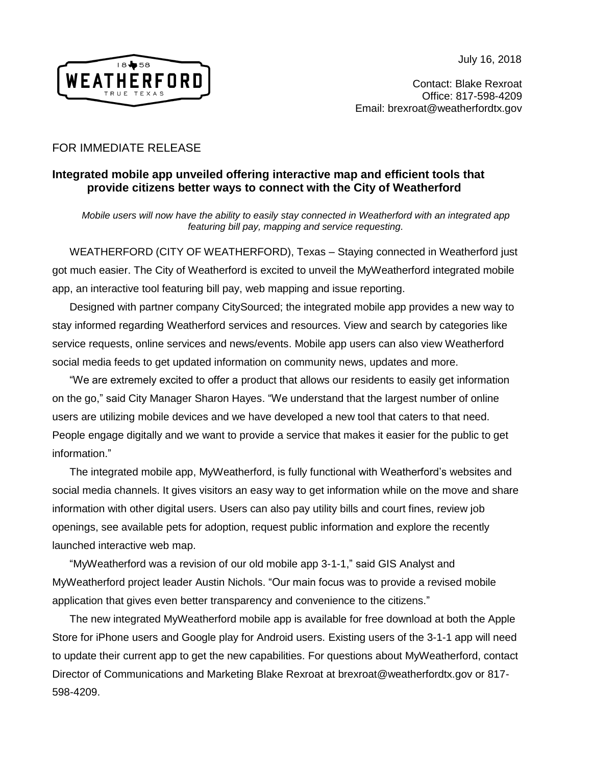July 16, 2018



Contact: Blake Rexroat Office: 817-598-4209 Email: brexroat@weatherfordtx.gov

## FOR IMMEDIATE RELEASE

## **Integrated mobile app unveiled offering interactive map and efficient tools that provide citizens better ways to connect with the City of Weatherford**

*Mobile users will now have the ability to easily stay connected in Weatherford with an integrated app featuring bill pay, mapping and service requesting.*

WEATHERFORD (CITY OF WEATHERFORD), Texas – Staying connected in Weatherford just got much easier. The City of Weatherford is excited to unveil the MyWeatherford integrated mobile app, an interactive tool featuring bill pay, web mapping and issue reporting.

Designed with partner company [CityS](https://visitwidget.com/)ourced; the integrated mobile app provides a new way to stay informed regarding Weatherford services and resources. View and search by categories like service requests, online services and news/events. Mobile app users can also view Weatherford social media feeds to get updated information on community news, updates and more.

"We are extremely excited to offer a product that allows our residents to easily get information on the go," said City Manager Sharon Hayes. "We understand that the largest number of online users are utilizing mobile devices and we have developed a new tool that caters to that need. People engage digitally and we want to provide a service that makes it easier for the public to get information."

The integrated mobile app, MyWeatherford, is fully functional with Weatherford's websites and social media channels. It gives visitors an easy way to get information while on the move and share information with other digital users. Users can also pay utility bills and court fines, review job openings, see available pets for adoption, request public information and explore the recently launched interactive web map.

"MyWeatherford was a revision of our old mobile app 3-1-1," said GIS Analyst and MyWeatherford project leader Austin Nichols. "Our main focus was to provide a revised mobile application that gives even better transparency and convenience to the citizens."

The new integrated MyWeatherford mobile app is available for free download at both the Apple Store for iPhone users and Google play for Android users. Existing users of the 3-1-1 app will need to update their current app to get the new capabilities. For questions about MyWeatherford, contact Director of Communications and Marketing Blake Rexroat at brexroat@weatherfordtx.gov or 817- 598-4209.